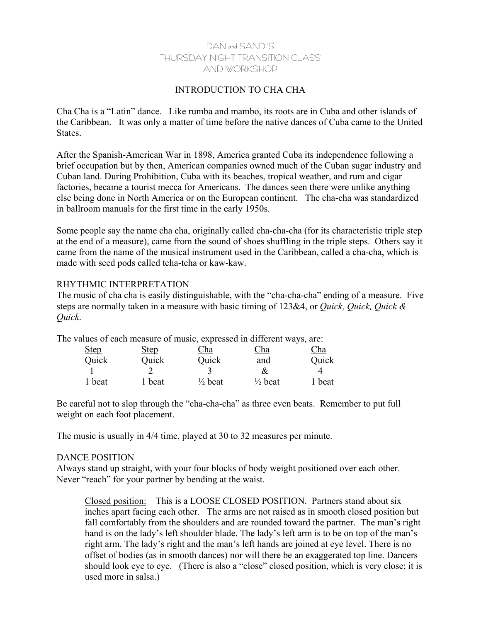# DAN and SANDI'S THURSDAY NIGHT TRANSITION CLASS AND WORKSHOP

## INTRODUCTION TO CHA CHA

Cha Cha is a "Latin" dance. Like rumba and mambo, its roots are in Cuba and other islands of the Caribbean. It was only a matter of time before the native dances of Cuba came to the United States.

After the Spanish-American War in 1898, America granted Cuba its independence following a brief occupation but by then, American companies owned much of the Cuban sugar industry and Cuban land. During Prohibition, Cuba with its beaches, tropical weather, and rum and cigar factories, became a tourist mecca for Americans. The dances seen there were unlike anything else being done in North America or on the European continent. The cha-cha was standardized in ballroom manuals for the first time in the early 1950s.

Some people say the name cha cha, originally called cha-cha-cha (for its characteristic triple step at the end of a measure), came from the sound of shoes shuffling in the triple steps. Others say it came from the name of the musical instrument used in the Caribbean, called a cha-cha, which is made with seed pods called tcha-tcha or kaw-kaw.

### RHYTHMIC INTERPRETATION

The music of cha cha is easily distinguishable, with the "cha-cha-cha" ending of a measure. Five steps are normally taken in a measure with basic timing of 123&4, or *Quick, Quick, Quick & Quick*.

| The values of each measure of music, expressed in different ways, are: |             |                    |                    |        |
|------------------------------------------------------------------------|-------------|--------------------|--------------------|--------|
| <b>Step</b>                                                            | <b>Step</b> | Cha                | Cha                | Cha    |
| Quick                                                                  | Quick       | Quick              | and                | Quick  |
|                                                                        |             |                    | &                  |        |
| 1 beat                                                                 | 1 beat      | $\frac{1}{2}$ beat | $\frac{1}{2}$ beat | 1 beat |

Be careful not to slop through the "cha-cha-cha" as three even beats. Remember to put full weight on each foot placement.

The music is usually in 4/4 time, played at 30 to 32 measures per minute.

### DANCE POSITION

Always stand up straight, with your four blocks of body weight positioned over each other. Never "reach" for your partner by bending at the waist.

Closed position: This is a LOOSE CLOSED POSITION. Partners stand about six inches apart facing each other. The arms are not raised as in smooth closed position but fall comfortably from the shoulders and are rounded toward the partner. The man's right hand is on the lady's left shoulder blade. The lady's left arm is to be on top of the man's right arm. The lady's right and the man's left hands are joined at eye level. There is no offset of bodies (as in smooth dances) nor will there be an exaggerated top line. Dancers should look eye to eye. (There is also a "close" closed position, which is very close; it is used more in salsa.)